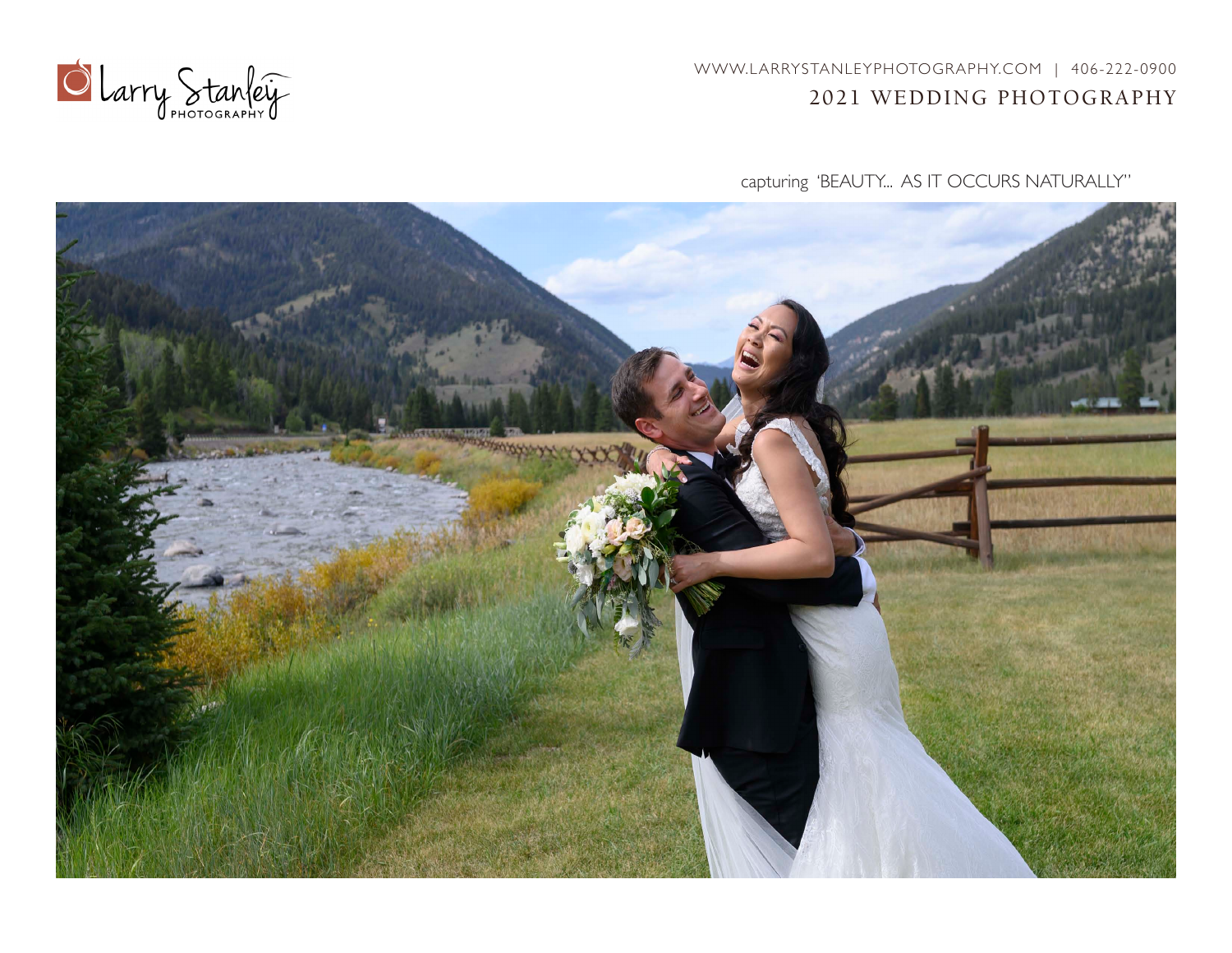WWW.LARRYSTANLEYPHOTOGRAPHY.COM | 406-222-0900 2021 WEDDING PHOTOGRAPHY



capturing 'BEAUTY... AS IT OCCURS NATURALLY"

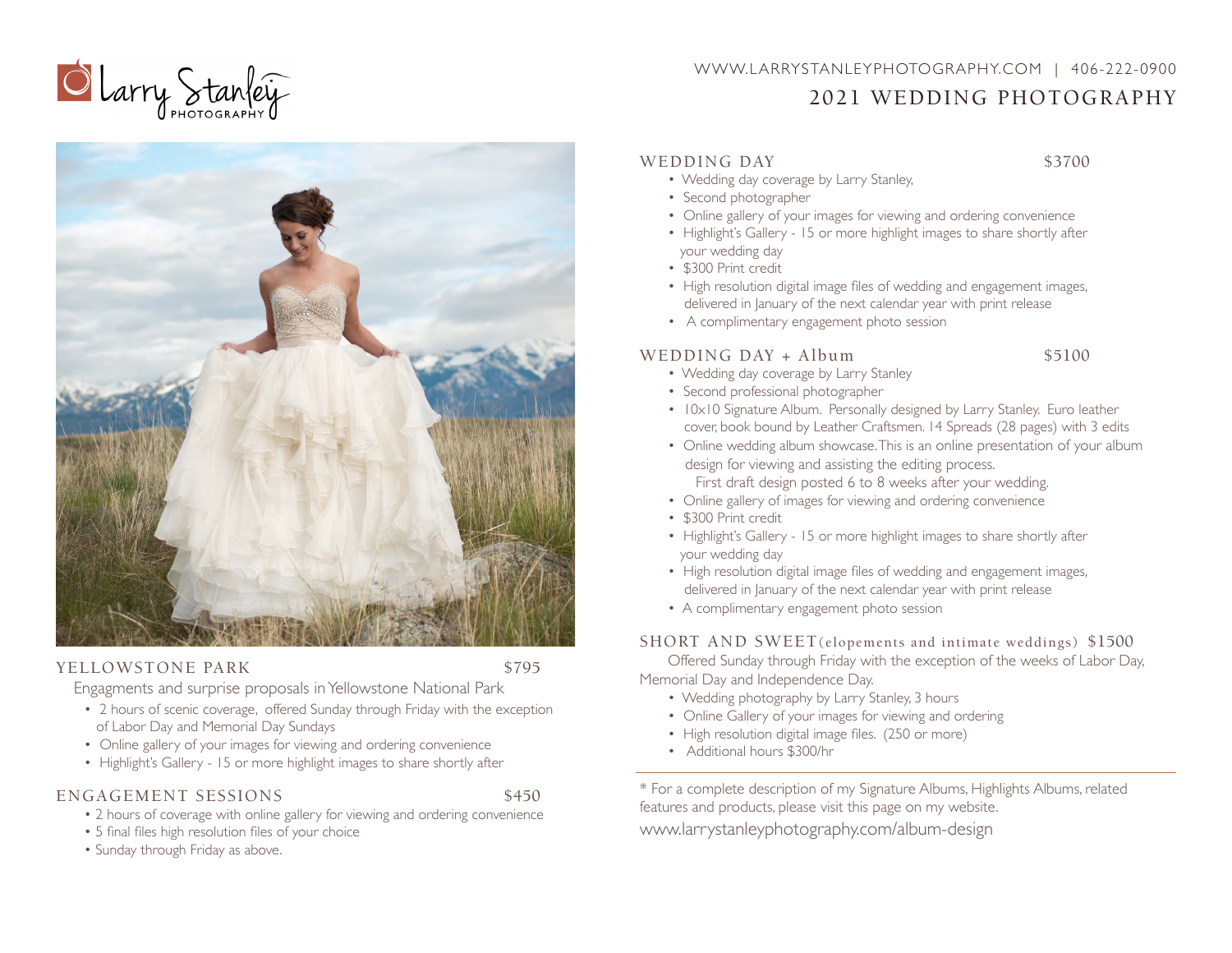

# WWW.LARRYSTANLEYPHOTOGRAPHY.COM | 406-222-0900 2021 WEDDING PHOTOGRAPHY



#### YELLOWSTONE PARK \$795

Engagments and surprise proposals inYellowstone National Park

- 2 hours of scenic coverage, offered Sunday through Friday with the exception of Labor Day and Memorial Day Sundays
- Online gallery of your images for viewing and ordering convenience
- Highlight's Gallery 15 or more highlight images to share shortly after

## ENGAGEMENT SESSIONS \$450

- 2 hours of coverage with online gallery for viewing and ordering convenience
- 5 final files high resolution files of your choice
- Sunday through Friday as above.

## WEDDING DAY \$3700

- Wedding day coverage by Larry Stanley,
- Second photographer
- Online gallery of your images for viewing and ordering convenience
- Highlight's Gallery 15 or more highlight images to share shortly after your wedding day
- \$300 Print credit
- High resolution digital image files of wedding and engagement images, delivered in January of the next calendar year with print release
- A complimentary engagement photo session

## WEDDING  $DAY + Album$  \$5100

- Wedding day coverage by Larry Stanley
- Second professional photographer
- 10x10 Signature Album. Personally designed by Larry Stanley. Euro leather cover, book bound by Leather Craftsmen. 14 Spreads (28 pages) with 3 edits
- Online wedding album showcase.This is an online presentation of your album design for viewing and assisting the editing process. First draft design posted 6 to 8 weeks after your wedding.
- Online gallery of images for viewing and ordering convenience
- \$300 Print credit
- Highlight's Gallery 15 or more highlight images to share shortly after your wedding day
- High resolution digital image files of wedding and engagement images, delivered in January of the next calendar year with print release
- A complimentary engagement photo session

## SHORT AND SWEET(elopements and intimate weddings) \$1500

 Offered Sunday through Friday with the exception of the weeks of Labor Day, Memorial Day and Independence Day.

- Wedding photography by Larry Stanley, 3 hours
- Online Gallery of your images for viewing and ordering
- High resolution digital image files. (250 or more)
- Additional hours \$300/hr

\* For a complete description of my Signature Albums, Highlights Albums, related features and products, please visit this page on my website. www.larrystanleyphotography.com/album-design